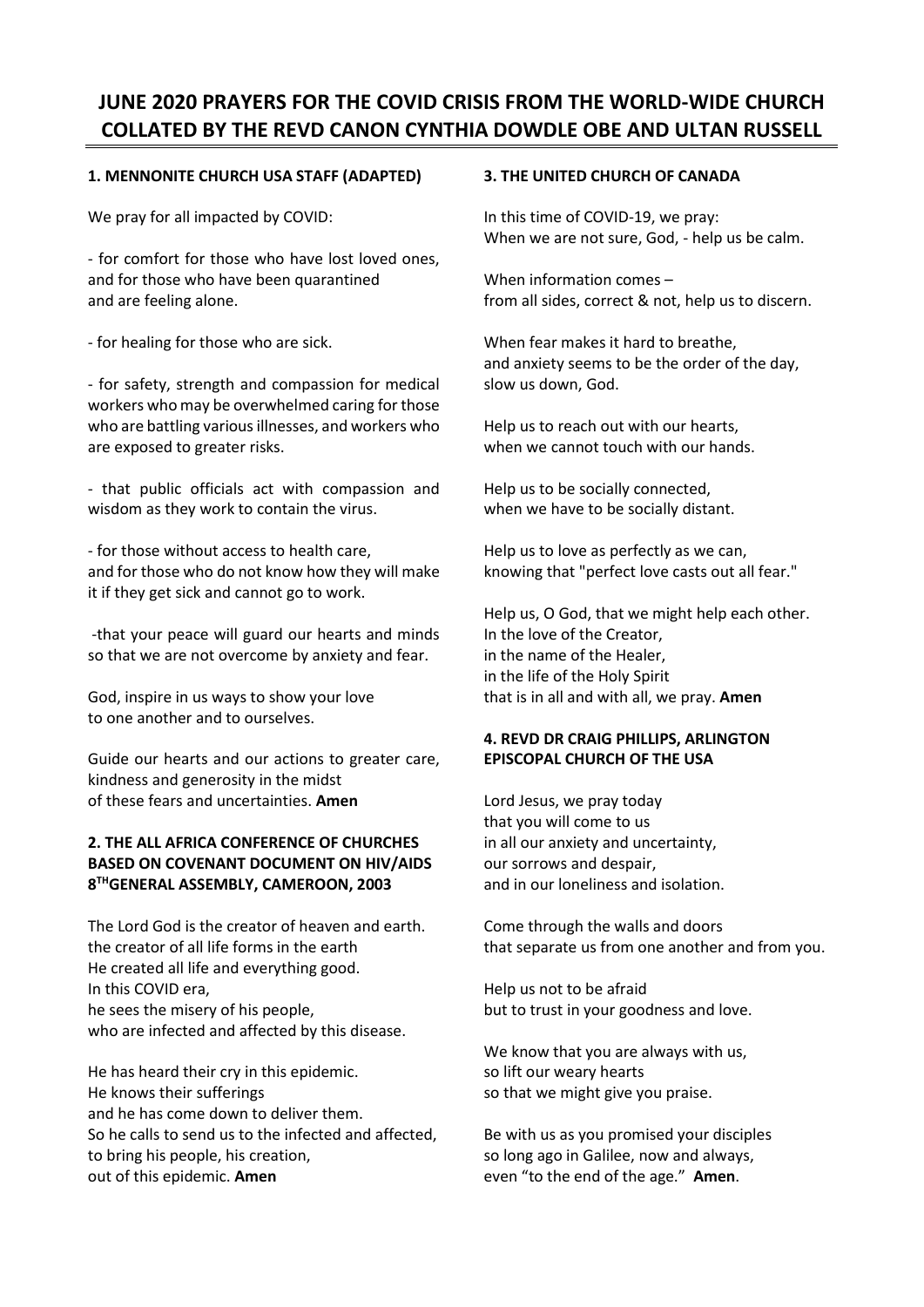# **JUNE 2020 PRAYERS FOR THE COVID CRISIS FROM THE WORLD-WIDE CHURCH COLLATED BY THE REVD CANON CYNTHIA DOWDLE OBE AND ULTAN RUSSELL**

# **1. MENNONITE CHURCH USA STAFF (ADAPTED)**

We pray for all impacted by COVID:

- for comfort for those who have lost loved ones, and for those who have been quarantined and are feeling alone.

- for healing for those who are sick.

- for safety, strength and compassion for medical workers who may be overwhelmed caring for those who are battling various illnesses, and workers who are exposed to greater risks.

- that public officials act with compassion and wisdom as they work to contain the virus.

- for those without access to health care, and for those who do not know how they will make it if they get sick and cannot go to work.

-that your peace will guard our hearts and minds so that we are not overcome by anxiety and fear.

God, inspire in us ways to show your love to one another and to ourselves.

Guide our hearts and our actions to greater care, kindness and generosity in the midst of these fears and uncertainties. **Amen**

# **2. THE ALL AFRICA CONFERENCE OF CHURCHES BASED ON COVENANT DOCUMENT ON HIV/AIDS 8 THGENERAL ASSEMBLY, CAMEROON, 2003**

The Lord God is the creator of heaven and earth. the creator of all life forms in the earth He created all life and everything good. In this COVID era, he sees the misery of his people, who are infected and affected by this disease.

He has heard their cry in this epidemic. He knows their sufferings and he has come down to deliver them. So he calls to send us to the infected and affected, to bring his people, his creation, out of this epidemic. **Amen**

#### **3. THE UNITED CHURCH OF CANADA**

In this time of COVID-19, we pray: When we are not sure, God, - help us be calm.

When information comes – from all sides, correct & not, help us to discern.

When fear makes it hard to breathe, and anxiety seems to be the order of the day, slow us down, God.

Help us to reach out with our hearts, when we cannot touch with our hands.

Help us to be socially connected, when we have to be socially distant.

Help us to love as perfectly as we can, knowing that "perfect love casts out all fear."

Help us, O God, that we might help each other. In the love of the Creator, in the name of the Healer, in the life of the Holy Spirit that is in all and with all, we pray. **Amen**

## **4. REVD DR CRAIG PHILLIPS, ARLINGTON EPISCOPAL CHURCH OF THE USA**

Lord Jesus, we pray today that you will come to us in all our anxiety and uncertainty, our sorrows and despair, and in our loneliness and isolation.

Come through the walls and doors that separate us from one another and from you.

Help us not to be afraid but to trust in your goodness and love.

We know that you are always with us, so lift our weary hearts so that we might give you praise.

Be with us as you promised your disciples so long ago in Galilee, now and always, even "to the end of the age." **Amen**.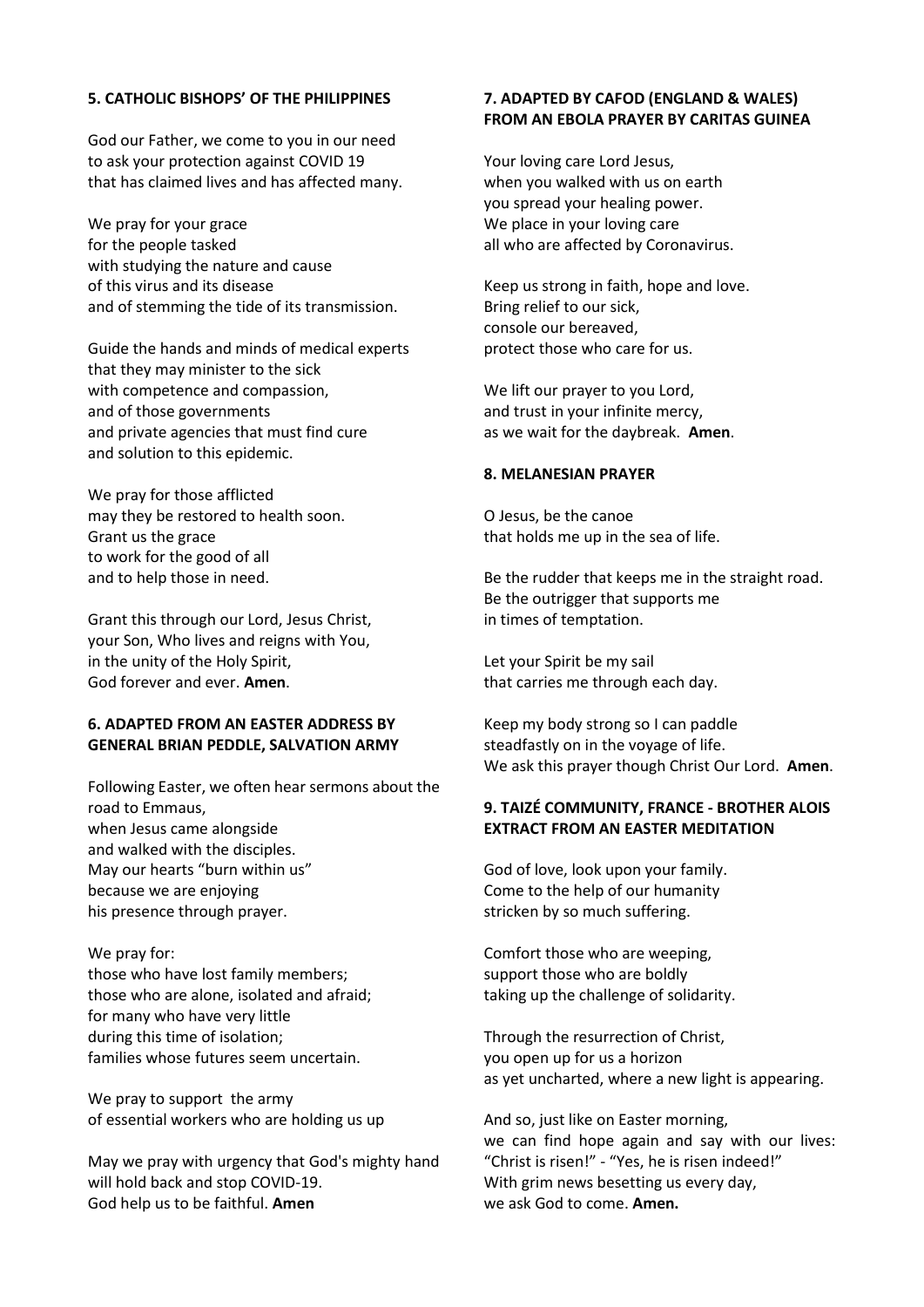#### **5. CATHOLIC BISHOPS' OF THE PHILIPPINES**

God our Father, we come to you in our need to ask your protection against COVID 19 that has claimed lives and has affected many.

We pray for your grace for the people tasked with studying the nature and cause of this virus and its disease and of stemming the tide of its transmission.

Guide the hands and minds of medical experts that they may minister to the sick with competence and compassion, and of those governments and private agencies that must find cure and solution to this epidemic.

We pray for those afflicted may they be restored to health soon. Grant us the grace to work for the good of all and to help those in need.

Grant this through our Lord, Jesus Christ, your Son, Who lives and reigns with You, in the unity of the Holy Spirit, God forever and ever. **Amen**.

#### **6. ADAPTED FROM AN EASTER ADDRESS BY GENERAL BRIAN PEDDLE, SALVATION ARMY**

Following Easter, we often hear sermons about the road to Emmaus, when Jesus came alongside and walked with the disciples. May our hearts "burn within us" because we are enjoying his presence through prayer.

We pray for: those who have lost family members; those who are alone, isolated and afraid; for many who have very little during this time of isolation; families whose futures seem uncertain.

We pray to support the army of essential workers who are holding us up

May we pray with urgency that God's mighty hand will hold back and stop COVID-19. God help us to be faithful. **Amen**

#### **7. ADAPTED BY CAFOD (ENGLAND & WALES) FROM AN EBOLA PRAYER BY CARITAS GUINEA**

Your loving care Lord Jesus, when you walked with us on earth you spread your healing power. We place in your loving care all who are affected by Coronavirus.

Keep us strong in faith, hope and love. Bring relief to our sick, console our bereaved, protect those who care for us.

We lift our prayer to you Lord, and trust in your infinite mercy, as we wait for the daybreak. **Amen**.

#### **8. MELANESIAN PRAYER**

O Jesus, be the canoe that holds me up in the sea of life.

Be the rudder that keeps me in the straight road. Be the outrigger that supports me in times of temptation.

Let your Spirit be my sail that carries me through each day.

Keep my body strong so I can paddle steadfastly on in the voyage of life. We ask this prayer though Christ Our Lord. **Amen**.

## **9. TAIZÉ COMMUNITY, FRANCE - BROTHER ALOIS EXTRACT FROM AN EASTER MEDITATION**

God of love, look upon your family. Come to the help of our humanity stricken by so much suffering.

Comfort those who are weeping, support those who are boldly taking up the challenge of solidarity.

Through the resurrection of Christ, you open up for us a horizon as yet uncharted, where a new light is appearing.

And so, just like on Easter morning, we can find hope again and say with our lives: "Christ is risen!" - "Yes, he is risen indeed!" With grim news besetting us every day, we ask God to come. **Amen.**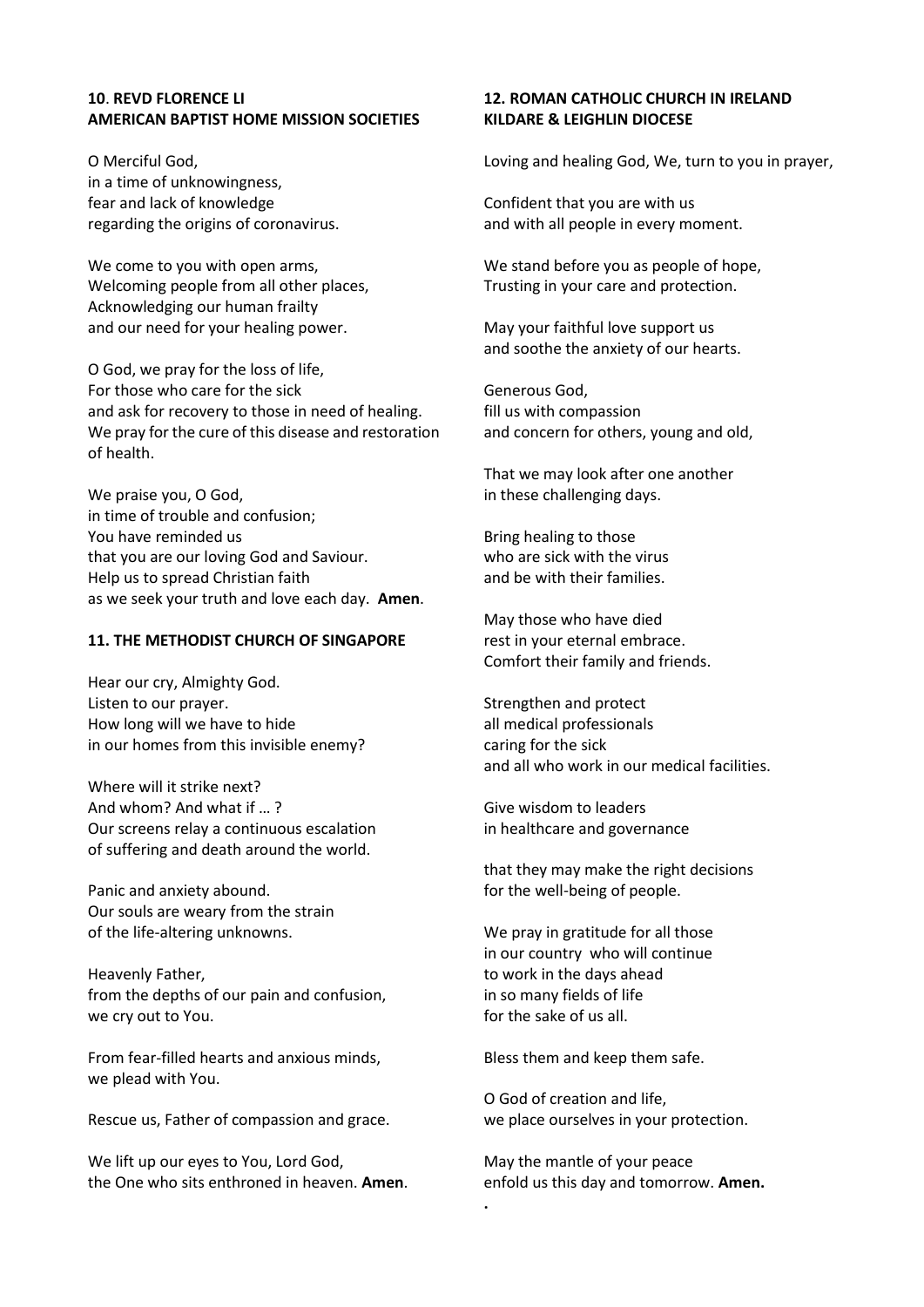#### **10**. **REVD FLORENCE LI AMERICAN BAPTIST HOME MISSION SOCIETIES**

O Merciful God, in a time of unknowingness, fear and lack of knowledge regarding the origins of coronavirus.

We come to you with open arms, Welcoming people from all other places, Acknowledging our human frailty and our need for your healing power.

O God, we pray for the loss of life, For those who care for the sick and ask for recovery to those in need of healing. We pray for the cure of this disease and restoration of health.

We praise you, O God, in time of trouble and confusion; You have reminded us that you are our loving God and Saviour. Help us to spread Christian faith as we seek your truth and love each day. **Amen**.

#### **11. THE METHODIST CHURCH OF SINGAPORE**

Hear our cry, Almighty God. Listen to our prayer. How long will we have to hide in our homes from this invisible enemy?

Where will it strike next? And whom? And what if … ? Our screens relay a continuous escalation of suffering and death around the world.

Panic and anxiety abound. Our souls are weary from the strain of the life-altering unknowns.

Heavenly Father, from the depths of our pain and confusion, we cry out to You.

From fear-filled hearts and anxious minds, we plead with You.

Rescue us, Father of compassion and grace.

We lift up our eyes to You, Lord God, the One who sits enthroned in heaven. **Amen**.

## **12. ROMAN CATHOLIC CHURCH IN IRELAND KILDARE & LEIGHLIN DIOCESE**

Loving and healing God, We, turn to you in prayer,

Confident that you are with us and with all people in every moment.

We stand before you as people of hope, Trusting in your care and protection.

May your faithful love support us and soothe the anxiety of our hearts.

Generous God, fill us with compassion and concern for others, young and old,

That we may look after one another in these challenging days.

Bring healing to those who are sick with the virus and be with their families.

May those who have died rest in your eternal embrace. Comfort their family and friends.

Strengthen and protect all medical professionals caring for the sick and all who work in our medical facilities.

Give wisdom to leaders in healthcare and governance

that they may make the right decisions for the well-being of people.

We pray in gratitude for all those in our country who will continue to work in the days ahead in so many fields of life for the sake of us all.

Bless them and keep them safe.

**.** 

O God of creation and life, we place ourselves in your protection.

May the mantle of your peace enfold us this day and tomorrow. **Amen.**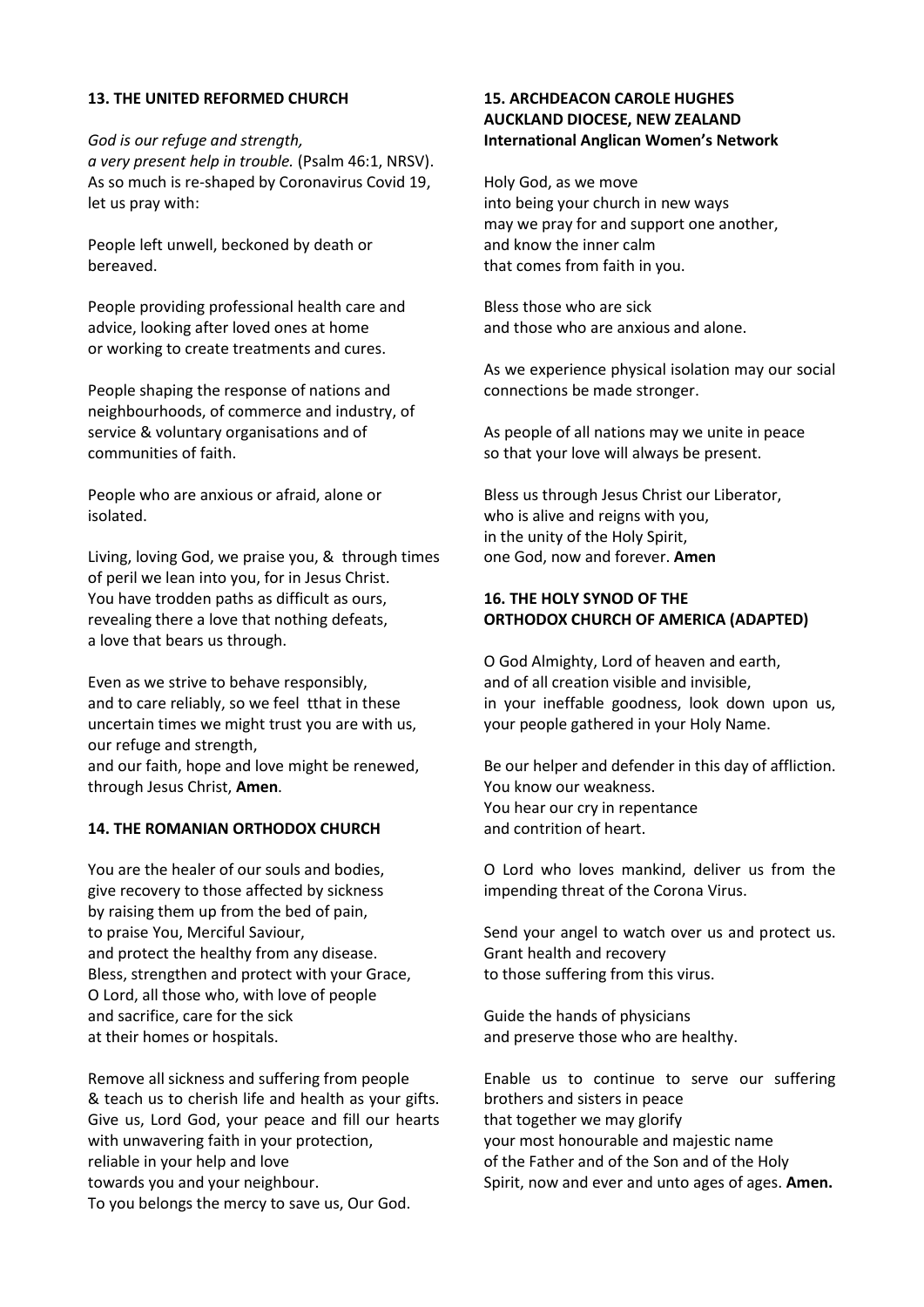#### **13. THE UNITED REFORMED CHURCH**

let us pray with:

*God is our refuge and strength, a very present help in trouble.* (Psalm 46:1, NRSV). As so much is re-shaped by Coronavirus Covid 19,

People left unwell, beckoned by death or bereaved.

People providing professional health care and advice, looking after loved ones at home or working to create treatments and cures.

People shaping the response of nations and neighbourhoods, of commerce and industry, of service & voluntary organisations and of communities of faith.

People who are anxious or afraid, alone or isolated.

Living, loving God, we praise you, & through times of peril we lean into you, for in Jesus Christ. You have trodden paths as difficult as ours, revealing there a love that nothing defeats, a love that bears us through.

Even as we strive to behave responsibly, and to care reliably, so we feel tthat in these uncertain times we might trust you are with us, our refuge and strength, and our faith, hope and love might be renewed, through Jesus Christ, **Amen**.

#### **14. THE ROMANIAN ORTHODOX CHURCH**

You are the healer of our souls and bodies, give recovery to those affected by sickness by raising them up from the bed of pain, to praise You, Merciful Saviour, and protect the healthy from any disease. Bless, strengthen and protect with your Grace, O Lord, all those who, with love of people and sacrifice, care for the sick at their homes or hospitals.

Remove all sickness and suffering from people & teach us to cherish life and health as your gifts. Give us, Lord God, your peace and fill our hearts with unwavering faith in your protection, reliable in your help and love towards you and your neighbour. To you belongs the mercy to save us, Our God.

## **15. ARCHDEACON CAROLE HUGHES AUCKLAND DIOCESE, NEW ZEALAND International Anglican Women's Network**

Holy God, as we move into being your church in new ways may we pray for and support one another, and know the inner calm that comes from faith in you.

Bless those who are sick and those who are anxious and alone.

As we experience physical isolation may our social connections be made stronger.

As people of all nations may we unite in peace so that your love will always be present.

Bless us through Jesus Christ our Liberator, who is alive and reigns with you, in the unity of the Holy Spirit, one God, now and forever. **Amen**

## **16. THE HOLY SYNOD OF THE ORTHODOX CHURCH OF AMERICA (ADAPTED)**

O God Almighty, Lord of heaven and earth, and of all creation visible and invisible, in your ineffable goodness, look down upon us, your people gathered in your Holy Name.

Be our helper and defender in this day of affliction. You know our weakness. You hear our cry in repentance and contrition of heart.

O Lord who loves mankind, deliver us from the impending threat of the Corona Virus.

Send your angel to watch over us and protect us. Grant health and recovery to those suffering from this virus.

Guide the hands of physicians and preserve those who are healthy.

Enable us to continue to serve our suffering brothers and sisters in peace that together we may glorify your most honourable and majestic name of the Father and of the Son and of the Holy Spirit, now and ever and unto ages of ages. **Amen.**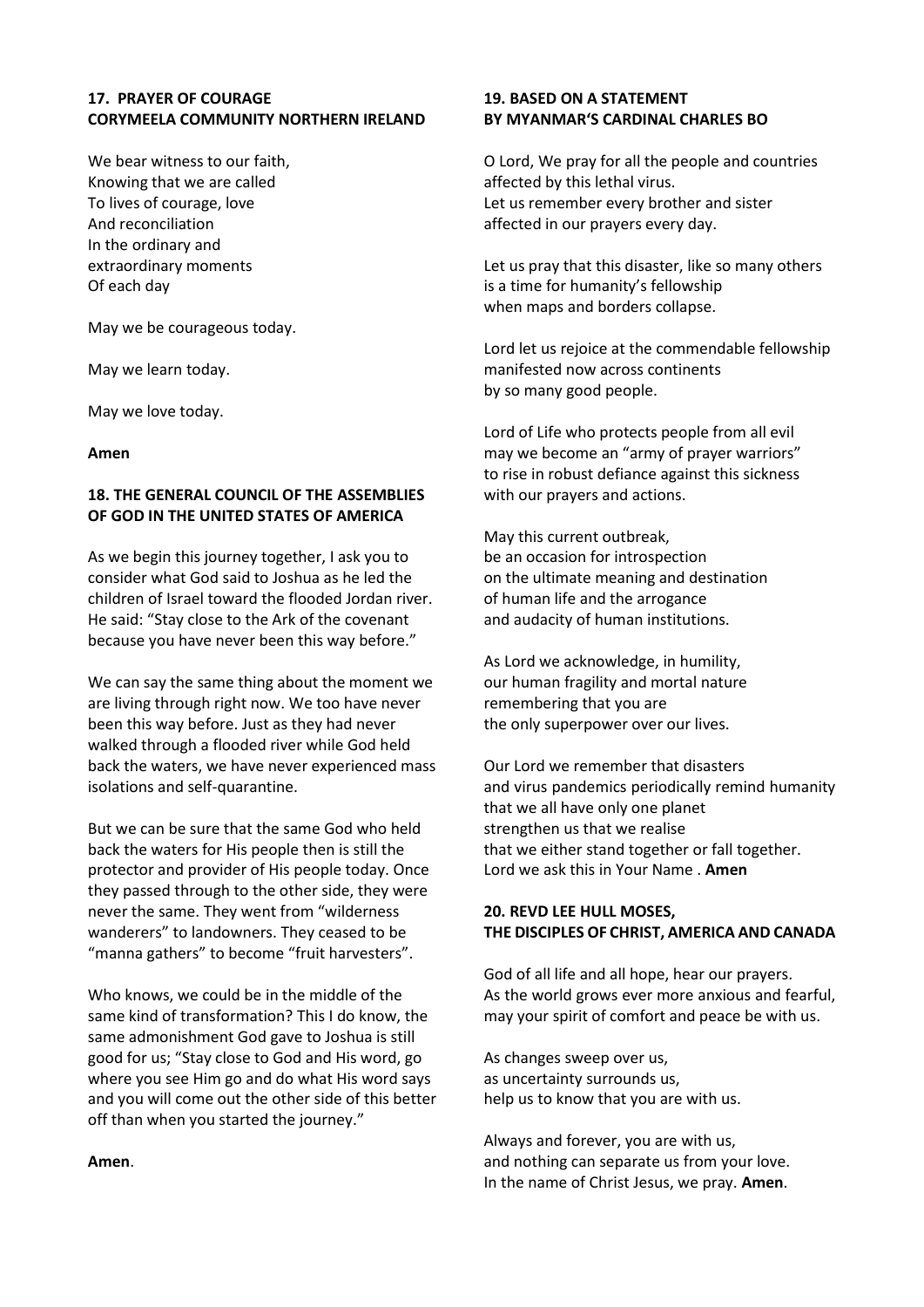## **17. PRAYER OF COURAGE CORYMEELA COMMUNITY NORTHERN IRELAND**

We bear witness to our faith, Knowing that we are called To lives of courage, love And reconciliation In the ordinary and extraordinary moments Of each day

May we be courageous today.

May we learn today.

May we love today.

#### **Amen**

## **18. THE GENERAL COUNCIL OF THE ASSEMBLIES OF GOD IN THE UNITED STATES OF AMERICA**

As we begin this journey together, I ask you to consider what God said to Joshua as he led the children of Israel toward the flooded Jordan river. He said: "Stay close to the Ark of the covenant because you have never been this way before."

We can say the same thing about the moment we are living through right now. We too have never been this way before. Just as they had never walked through a flooded river while God held back the waters, we have never experienced mass isolations and self-quarantine.

But we can be sure that the same God who held back the waters for His people then is still the protector and provider of His people today. Once they passed through to the other side, they were never the same. They went from "wilderness wanderers" to landowners. They ceased to be "manna gathers" to become "fruit harvesters".

Who knows, we could be in the middle of the same kind of transformation? This I do know, the same admonishment God gave to Joshua is still good for us; "Stay close to God and His word, go where you see Him go and do what His word says and you will come out the other side of this better off than when you started the journey."

#### **Amen**.

## **19. BASED ON A STATEMENT BY MYANMAR'S CARDINAL CHARLES BO**

O Lord, We pray for all the people and countries affected by this lethal virus. Let us remember every brother and sister affected in our prayers every day.

Let us pray that this disaster, like so many others is a time for humanity's fellowship when maps and borders collapse.

Lord let us rejoice at the commendable fellowship manifested now across continents by so many good people.

Lord of Life who protects people from all evil may we become an "army of prayer warriors" to rise in robust defiance against this sickness with our prayers and actions.

May this current outbreak, be an occasion for introspection on the ultimate meaning and destination of human life and the arrogance and audacity of human institutions.

As Lord we acknowledge, in humility, our human fragility and mortal nature remembering that you are the only superpower over our lives.

Our Lord we remember that disasters and virus pandemics periodically remind humanity that we all have only one planet strengthen us that we realise that we either stand together or fall together. Lord we ask this in Your Name . **Amen**

## **20. REVD LEE HULL MOSES, THE DISCIPLES OF CHRIST, AMERICA AND CANADA**

God of all life and all hope, hear our prayers. As the world grows ever more anxious and fearful, may your spirit of comfort and peace be with us.

As changes sweep over us, as uncertainty surrounds us, help us to know that you are with us.

Always and forever, you are with us, and nothing can separate us from your love. In the name of Christ Jesus, we pray. **Amen**.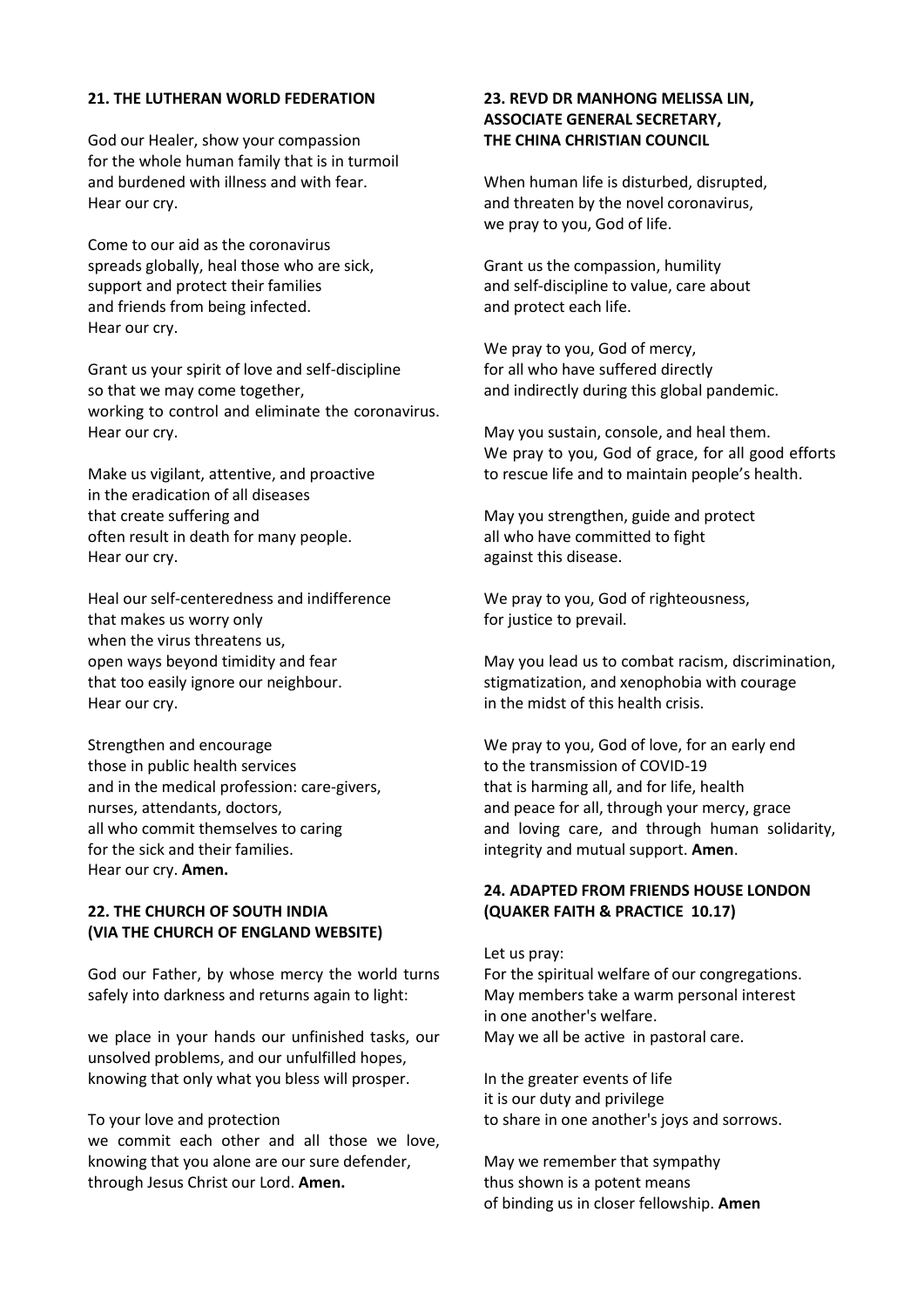#### **21. THE LUTHERAN WORLD FEDERATION**

God our Healer, show your compassion for the whole human family that is in turmoil and burdened with illness and with fear. Hear our cry.

Come to our aid as the coronavirus spreads globally, heal those who are sick, support and protect their families and friends from being infected. Hear our cry.

Grant us your spirit of love and self-discipline so that we may come together, working to control and eliminate the coronavirus. Hear our cry.

Make us vigilant, attentive, and proactive in the eradication of all diseases that create suffering and often result in death for many people. Hear our cry.

Heal our self-centeredness and indifference that makes us worry only when the virus threatens us, open ways beyond timidity and fear that too easily ignore our neighbour. Hear our cry.

Strengthen and encourage those in public health services and in the medical profession: care-givers, nurses, attendants, doctors, all who commit themselves to caring for the sick and their families. Hear our cry. **Amen.**

## **22. THE CHURCH OF SOUTH INDIA (VIA THE CHURCH OF ENGLAND WEBSITE)**

God our Father, by whose mercy the world turns safely into darkness and returns again to light:

we place in your hands our unfinished tasks, our unsolved problems, and our unfulfilled hopes, knowing that only what you bless will prosper.

#### To your love and protection

we commit each other and all those we love, knowing that you alone are our sure defender, through Jesus Christ our Lord. **Amen.** 

#### **23. REVD DR MANHONG MELISSA LIN, ASSOCIATE GENERAL SECRETARY, THE CHINA CHRISTIAN COUNCIL**

When human life is disturbed, disrupted, and threaten by the novel coronavirus, we pray to you, God of life.

Grant us the compassion, humility and self-discipline to value, care about and protect each life.

We pray to you, God of mercy, for all who have suffered directly and indirectly during this global pandemic.

May you sustain, console, and heal them. We pray to you, God of grace, for all good efforts to rescue life and to maintain people's health.

May you strengthen, guide and protect all who have committed to fight against this disease.

We pray to you, God of righteousness, for justice to prevail.

May you lead us to combat racism, discrimination, stigmatization, and xenophobia with courage in the midst of this health crisis.

We pray to you, God of love, for an early end to the transmission of COVID-19 that is harming all, and for life, health and peace for all, through your mercy, grace and loving care, and through human solidarity, integrity and mutual support. **Amen**.

# **24. ADAPTED FROM FRIENDS HOUSE LONDON (QUAKER FAITH & PRACTICE 10.17)**

Let us pray:

For the spiritual welfare of our congregations. May members take a warm personal interest in one another's welfare. May we all be active in pastoral care.

In the greater events of life it is our duty and privilege to share in one another's joys and sorrows.

May we remember that sympathy thus shown is a potent means of binding us in closer fellowship. **Amen**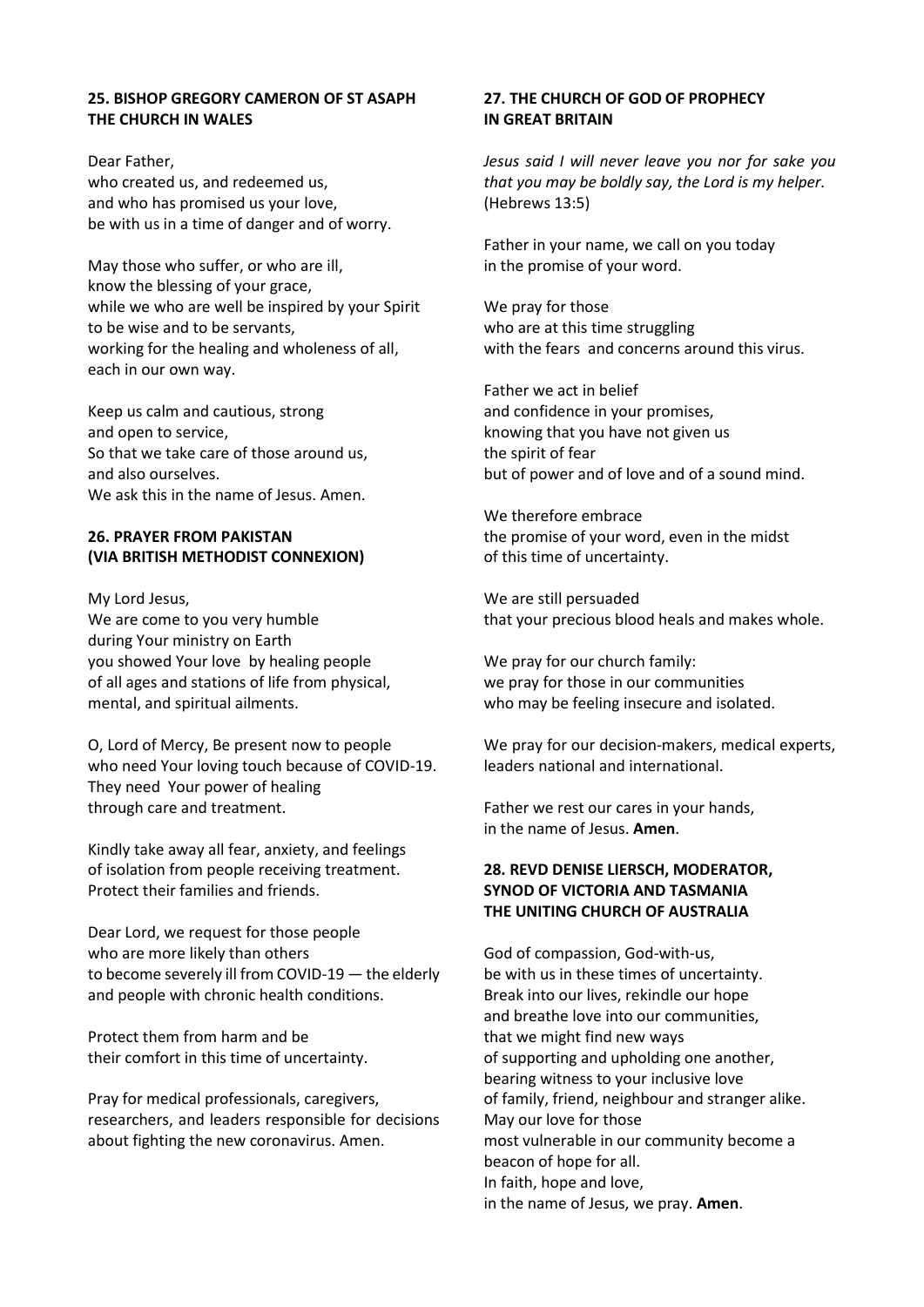#### **25. BISHOP GREGORY CAMERON OF ST ASAPH THE CHURCH IN WALES**

Dear Father, who created us, and redeemed us, and who has promised us your love, be with us in a time of danger and of worry.

May those who suffer, or who are ill, know the blessing of your grace, while we who are well be inspired by your Spirit to be wise and to be servants, working for the healing and wholeness of all, each in our own way.

Keep us calm and cautious, strong and open to service, So that we take care of those around us, and also ourselves. We ask this in the name of Jesus. Amen.

# **26. PRAYER FROM PAKISTAN (VIA BRITISH METHODIST CONNEXION)**

My Lord Jesus, We are come to you very humble during Your ministry on Earth you showed Your love by healing people of all ages and stations of life from physical, mental, and spiritual ailments.

O, Lord of Mercy, Be present now to people who need Your loving touch because of COVID-19. They need Your power of healing through care and treatment.

Kindly take away all fear, anxiety, and feelings of isolation from people receiving treatment. Protect their families and friends.

Dear Lord, we request for those people who are more likely than others to become severely ill from COVID-19 — the elderly and people with chronic health conditions.

Protect them from harm and be their comfort in this time of uncertainty.

Pray for medical professionals, caregivers, researchers, and leaders responsible for decisions about fighting the new coronavirus. Amen.

## **27. THE CHURCH OF GOD OF PROPHECY IN GREAT BRITAIN**

*Jesus said I will never leave you nor for sake you that you may be boldly say, the Lord is my helper.* (Hebrews 13:5)

Father in your name, we call on you today in the promise of your word.

We pray for those who are at this time struggling with the fears and concerns around this virus.

Father we act in belief and confidence in your promises, knowing that you have not given us the spirit of fear but of power and of love and of a sound mind.

We therefore embrace the promise of your word, even in the midst of this time of uncertainty.

We are still persuaded that your precious blood heals and makes whole.

We pray for our church family: we pray for those in our communities who may be feeling insecure and isolated.

We pray for our decision-makers, medical experts, leaders national and international.

Father we rest our cares in your hands, in the name of Jesus. **Amen**.

## **28. REVD DENISE LIERSCH, MODERATOR, SYNOD OF VICTORIA AND TASMANIA THE UNITING CHURCH OF AUSTRALIA**

God of compassion, God-with-us, be with us in these times of uncertainty. Break into our lives, rekindle our hope and breathe love into our communities, that we might find new ways of supporting and upholding one another, bearing witness to your inclusive love of family, friend, neighbour and stranger alike. May our love for those most vulnerable in our community become a beacon of hope for all. In faith, hope and love, in the name of Jesus, we pray. **Amen**.